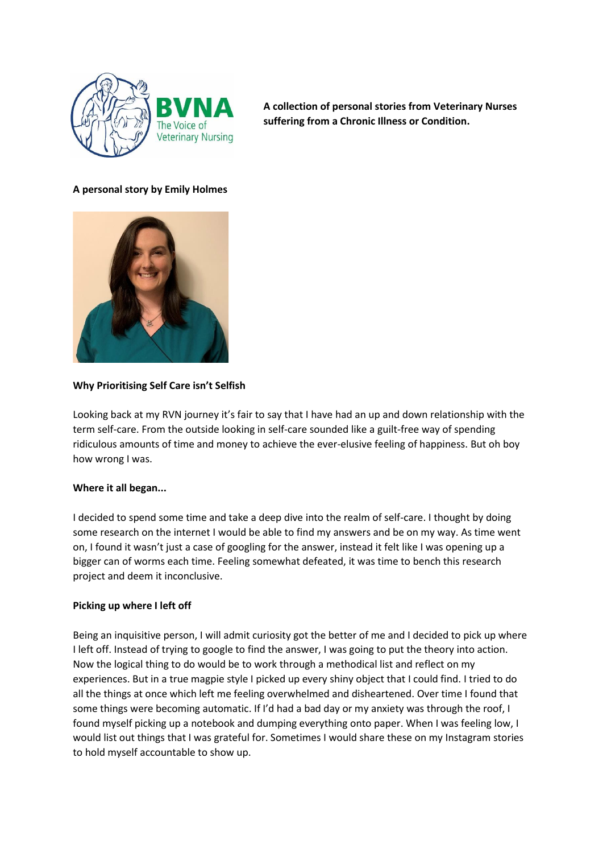

**A collection of personal stories from Veterinary Nurses suffering from a Chronic Illness or Condition.** 

# **A personal story by Emily Holmes**



### **Why Prioritising Self Care isn't Selfish**

Looking back at my RVN journey it's fair to say that I have had an up and down relationship with the term self-care. From the outside looking in self-care sounded like a guilt-free way of spending ridiculous amounts of time and money to achieve the ever-elusive feeling of happiness. But oh boy how wrong I was.

### **Where it all began...**

I decided to spend some time and take a deep dive into the realm of self-care. I thought by doing some research on the internet I would be able to find my answers and be on my way. As time went on, I found it wasn't just a case of googling for the answer, instead it felt like I was opening up a bigger can of worms each time. Feeling somewhat defeated, it was time to bench this research project and deem it inconclusive.

### **Picking up where I left off**

Being an inquisitive person, I will admit curiosity got the better of me and I decided to pick up where I left off. Instead of trying to google to find the answer, I was going to put the theory into action. Now the logical thing to do would be to work through a methodical list and reflect on my experiences. But in a true magpie style I picked up every shiny object that I could find. I tried to do all the things at once which left me feeling overwhelmed and disheartened. Over time I found that some things were becoming automatic. If I'd had a bad day or my anxiety was through the roof, I found myself picking up a notebook and dumping everything onto paper. When I was feeling low, I would list out things that I was grateful for. Sometimes I would share these on my Instagram stories to hold myself accountable to show up.